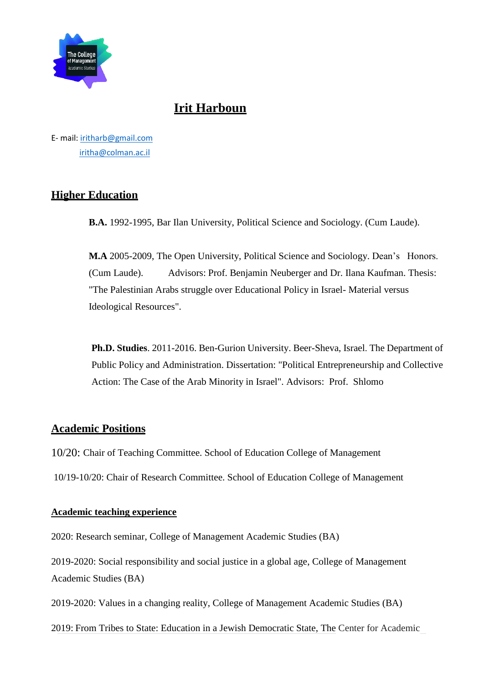

# **Irit Harboun**

E- mail: [iritharb@gmail.com](mailto:iritharb@gmail.com) [iritha@colman.ac.il](mailto:iritha@colman.ac.il)

## **Higher Education**

**B.A.** 1992-1995, Bar Ilan University, Political Science and Sociology. (Cum Laude).

**M.A** 2005-2009, The Open University, Political Science and Sociology. Dean's Honors. (Cum Laude). Advisors: Prof. Benjamin Neuberger and Dr. Ilana Kaufman. Thesis: "The Palestinian Arabs struggle over Educational Policy in Israel- Material versus Ideological Resources".

**Ph.D. Studies**. 2011-2016. Ben-Gurion University. Beer-Sheva, Israel. The Department of Public Policy and Administration. Dissertation: "Political Entrepreneurship and Collective Action: The Case of the Arab Minority in Israel". Advisors: Prof. Shlomo

## **Academic Positions**

10/20: Chair of Teaching Committee. School of Education College of Management 10/19-10/20: Chair of Research Committee. School of Education College of Management

#### **Academic teaching experience**

2020: Research seminar, College of Management Academic Studies (BA)

2019-2020: Social responsibility and social justice in a global age, College of Management Academic Studies (BA)

2019-2020: Values in a changing reality, College of Management Academic Studies (BA)

2019: From Tribes to State: Education in a Jewish Democratic State, The Center for Academic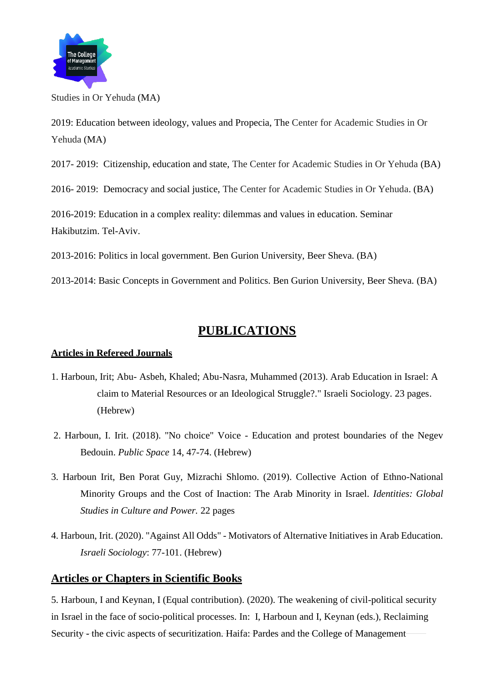

Studies in Or Yehuda (MA)

2019: Education between ideology, values and Propecia, The Center for Academic Studies in Or Yehuda (MA)

2017- 2019: Citizenship, education and state, The Center for Academic Studies in Or Yehuda (BA)

2016- 2019: Democracy and social justice, The Center for Academic Studies in Or Yehuda. (BA)

2016-2019: Education in a complex reality: dilemmas and values in education. Seminar Hakibutzim. Tel-Aviv.

2013-2016: Politics in local government. Ben Gurion University, Beer Sheva. (BA)

2013-2014: Basic Concepts in Government and Politics. Ben Gurion University, Beer Sheva. (BA)

# **PUBLICATIONS**

#### **Articles in Refereed Journals**

- 1. Harboun, Irit; Abu- Asbeh, Khaled; Abu-Nasra, Muhammed (2013). Arab Education in Israel: A claim to Material Resources or an Ideological Struggle?." Israeli Sociology. 23 pages. (Hebrew)
- 2. Harboun, I. Irit. (2018). "No choice" Voice Education and protest boundaries of the Negev Bedouin. *Public Space* 14, 47-74. (Hebrew)
- 3. Harboun Irit, Ben Porat Guy, Mizrachi Shlomo. (2019). Collective Action of Ethno-National Minority Groups and the Cost of Inaction: The Arab Minority in Israel. *Identities: Global Studies in Culture and Power.* 22 pages
- 4. Harboun, Irit. (2020). "Against All Odds" Motivators of Alternative Initiatives in Arab Education. *Israeli Sociology*: 77-101. (Hebrew)

## **Articles or Chapters in Scientific Books**

5. Harboun, I and Keynan, I (Equal contribution). (2020). The weakening of civil-political security in Israel in the face of socio-political processes. In: I, Harboun and I, Keynan (eds.), Reclaiming Security - the civic aspects of securitization. Haifa: Pardes and the College of Management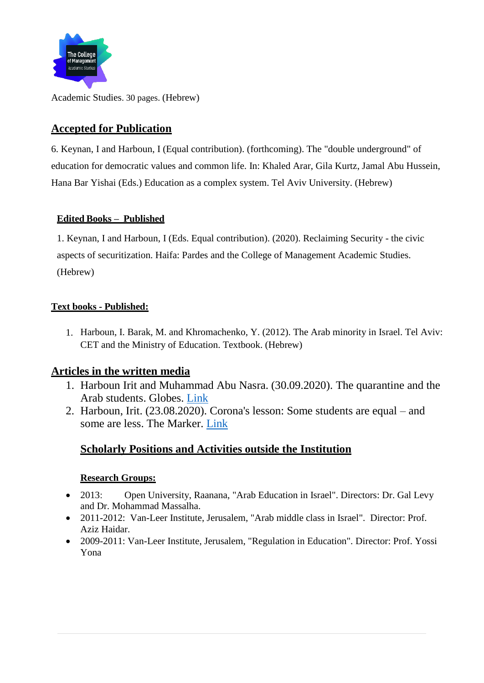

Academic Studies. 30 pages. (Hebrew)

## **Accepted for Publication**

6. Keynan, I and Harboun, I (Equal contribution). (forthcoming). The "double underground" of education for democratic values and common life. In: Khaled Arar, Gila Kurtz, Jamal Abu Hussein, Hana Bar Yishai (Eds.) Education as a complex system. Tel Aviv University. (Hebrew)

#### **Edited Books – Published**

1. Keynan, I and Harboun, I (Eds. Equal contribution). (2020). Reclaiming Security - the civic aspects of securitization. Haifa: Pardes and the College of Management Academic Studies. (Hebrew)

#### **Text books - Published:**

1. Harboun, I. Barak, M. and Khromachenko, Y. (2012). The Arab minority in Israel. Tel Aviv: CET and the Ministry of Education. Textbook. (Hebrew)

## **Articles in the written media**

- 1. Harboun Irit and Muhammad Abu Nasra. (30.09.2020). The quarantine and the Arab students. Globes. [Link](https://www.globes.co.il/news/article.aspx?did=1001343937)
- 2. Harboun, Irit. (23.08.2020). Corona's lesson: Some students are equal and some are less. The Marker. [Link](https://www.themarker.com/opinion/.premium-1.9094660)

## **Scholarly Positions and Activities outside the Institution**

#### **Research Groups:**

- 2013: Open University, Raanana, "Arab Education in Israel". Directors: Dr. Gal Levy and Dr. Mohammad Massalha.
- 2011-2012: Van-Leer Institute, Jerusalem, "Arab middle class in Israel". Director: Prof. Aziz Haidar.
- 2009-2011: Van-Leer Institute, Jerusalem, "Regulation in Education". Director: Prof. Yossi Yona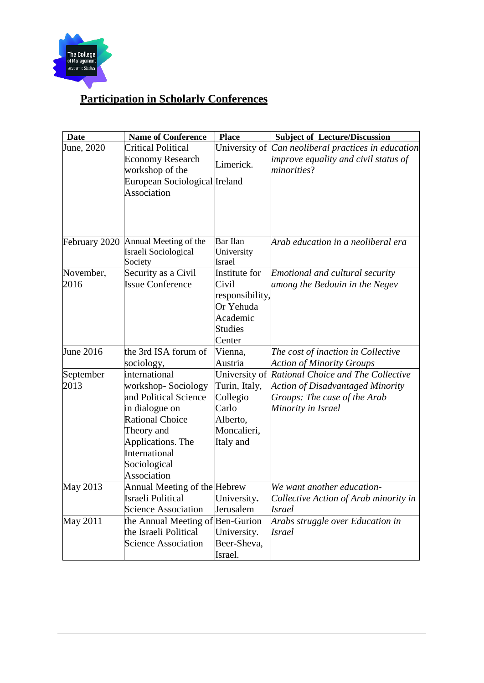

# **Participation in Scholarly Conferences**

| <b>Date</b>   | <b>Name of Conference</b>                  | <b>Place</b>    | <b>Subject of Lecture/Discussion</b>                |
|---------------|--------------------------------------------|-----------------|-----------------------------------------------------|
| June, 2020    | <b>Critical Political</b>                  | University of   | Can neoliberal practices in education               |
|               | <b>Economy Research</b><br>workshop of the | Limerick.       | improve equality and civil status of<br>minorities? |
|               | European Sociological Ireland              |                 |                                                     |
|               | Association                                |                 |                                                     |
|               |                                            |                 |                                                     |
|               |                                            |                 |                                                     |
|               |                                            |                 |                                                     |
| February 2020 | Annual Meeting of the                      | <b>Bar</b> Ilan | Arab education in a neoliberal era                  |
|               | Israeli Sociological                       | University      |                                                     |
|               | Society                                    | Israel          |                                                     |
| November,     | Security as a Civil                        | Institute for   | Emotional and cultural security                     |
| 2016          | <b>Issue Conference</b>                    | Civil           | among the Bedouin in the Negev                      |
|               |                                            | responsibility, |                                                     |
|               |                                            | Or Yehuda       |                                                     |
|               |                                            | Academic        |                                                     |
|               |                                            | <b>Studies</b>  |                                                     |
|               |                                            | Center          |                                                     |
| June 2016     | the 3rd ISA forum of                       | Vienna,         | The cost of inaction in Collective                  |
|               | sociology,                                 | Austria         | <b>Action of Minority Groups</b>                    |
| September     | international                              | University of   | Rational Choice and The Collective                  |
| 2013          | workshop-Sociology                         | Turin, Italy,   | <b>Action of Disadvantaged Minority</b>             |
|               | and Political Science                      | Collegio        | Groups: The case of the Arab                        |
|               | in dialogue on                             | Carlo           | Minority in Israel                                  |
|               | <b>Rational Choice</b>                     | Alberto,        |                                                     |
|               | Theory and                                 | Moncalieri,     |                                                     |
|               | Applications. The                          | Italy and       |                                                     |
|               | International                              |                 |                                                     |
|               | Sociological                               |                 |                                                     |
|               | Association                                |                 |                                                     |
| May 2013      | Annual Meeting of the Hebrew               |                 | We want another education-                          |
|               | Israeli Political                          | University.     | Collective Action of Arab minority in               |
|               | <b>Science Association</b>                 | Jerusalem       | <b>Israel</b>                                       |
| May 2011      | the Annual Meeting of Ben-Gurion           |                 | Arabs struggle over Education in                    |
|               | the Israeli Political                      | University.     | <i><b>Israel</b></i>                                |
|               | <b>Science Association</b>                 | Beer-Sheva,     |                                                     |
|               |                                            | Israel.         |                                                     |